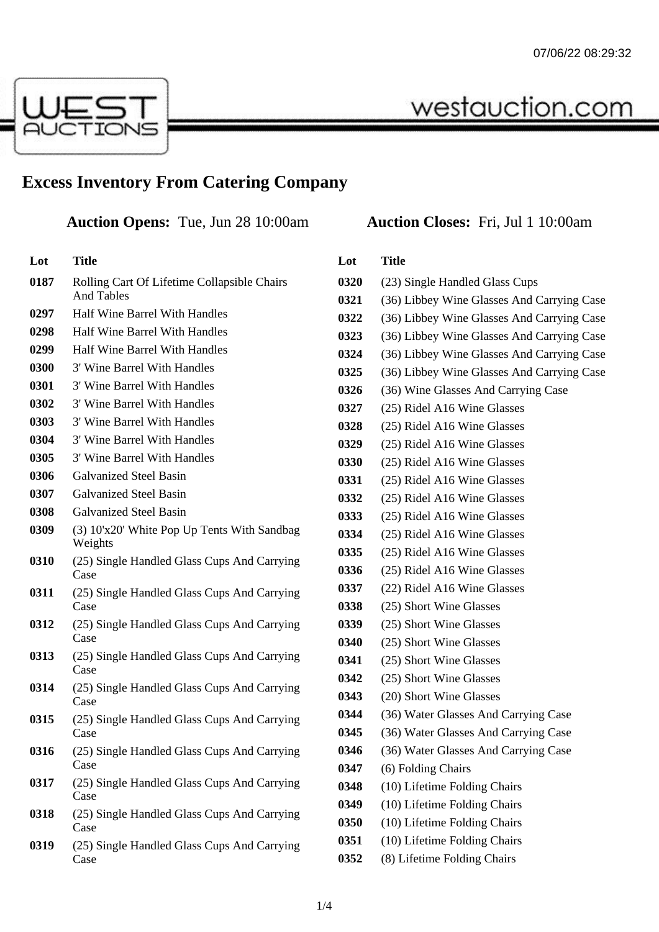westauction.com



## **Excess Inventory From Catering Company**

**Auction Opens:** Tue, Jun 28 10:00am **Auction Closes:** Fri, Jul 1 10:00am

| Lot | Title |
|-----|-------|
|     |       |

- Rolling Cart Of Lifetime Collapsible Chairs And Tables Half Wine Barrel With Handles
- Half Wine Barrel With Handles
- Half Wine Barrel With Handles
- 3' Wine Barrel With Handles
- 3' Wine Barrel With Handles
- 3' Wine Barrel With Handles
- 3' Wine Barrel With Handles
- 3' Wine Barrel With Handles
- 3' Wine Barrel With Handles
- Galvanized Steel Basin
- Galvanized Steel Basin
- Galvanized Steel Basin
- (3) 10'x20' White Pop Up Tents With Sandbag Weights
- (25) Single Handled Glass Cups And Carrying Case
- (25) Single Handled Glass Cups And Carrying Case
- (25) Single Handled Glass Cups And Carrying Case
- (25) Single Handled Glass Cups And Carrying Case
- (25) Single Handled Glass Cups And Carrying Case
- (25) Single Handled Glass Cups And Carrying Case
- (25) Single Handled Glass Cups And Carrying Case
- (25) Single Handled Glass Cups And Carrying Case
- (25) Single Handled Glass Cups And Carrying Case
- (25) Single Handled Glass Cups And Carrying Case

| Lot  | Title                                      |
|------|--------------------------------------------|
| 0320 | (23) Single Handled Glass Cups             |
| 0321 | (36) Libbey Wine Glasses And Carrying Case |
| 0322 | (36) Libbey Wine Glasses And Carrying Case |
| 0323 | (36) Libbey Wine Glasses And Carrying Case |
| 0324 | (36) Libbey Wine Glasses And Carrying Case |
| 0325 | (36) Libbey Wine Glasses And Carrying Case |
| 0326 | (36) Wine Glasses And Carrying Case        |
| 0327 | (25) Ridel A16 Wine Glasses                |
| 0328 | (25) Ridel A16 Wine Glasses                |
| 0329 | (25) Ridel A16 Wine Glasses                |
| 0330 | (25) Ridel A16 Wine Glasses                |
| 0331 | (25) Ridel A16 Wine Glasses                |
| 0332 | (25) Ridel A16 Wine Glasses                |
| 0333 | (25) Ridel A16 Wine Glasses                |
| 0334 | (25) Ridel A16 Wine Glasses                |
| 0335 | (25) Ridel A16 Wine Glasses                |
| 0336 | (25) Ridel A16 Wine Glasses                |
| 0337 | (22) Ridel A16 Wine Glasses                |
| 0338 | (25) Short Wine Glasses                    |
| 0339 | (25) Short Wine Glasses                    |
| 0340 | (25) Short Wine Glasses                    |
| 0341 | (25) Short Wine Glasses                    |
| 0342 | (25) Short Wine Glasses                    |
| 0343 | (20) Short Wine Glasses                    |
| 0344 | (36) Water Glasses And Carrying Case       |
| 0345 | (36) Water Glasses And Carrying Case       |
| 0346 | (36) Water Glasses And Carrying Case       |
| 0347 | (6) Folding Chairs                         |
| 0348 | (10) Lifetime Folding Chairs               |
| 0349 | (10) Lifetime Folding Chairs               |
| 0350 | (10) Lifetime Folding Chairs               |
| 0351 | (10) Lifetime Folding Chairs               |
| 0352 | (8) Lifetime Folding Chairs                |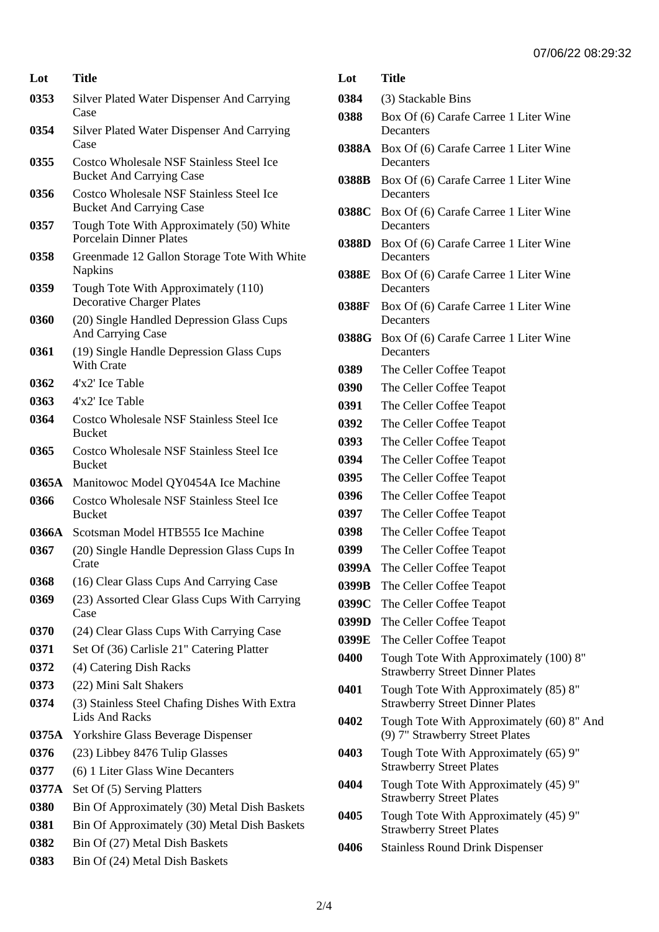| Lot   | <b>Title</b>                                                                |
|-------|-----------------------------------------------------------------------------|
| 0353  | <b>Silver Plated Water Dispenser And Carrying</b><br>Case                   |
| 0354  | Silver Plated Water Dispenser And Carrying<br>Case                          |
| 0355  | Costco Wholesale NSF Stainless Steel Ice<br><b>Bucket And Carrying Case</b> |
| 0356  | Costco Wholesale NSF Stainless Steel Ice<br><b>Bucket And Carrying Case</b> |
| 0357  | Tough Tote With Approximately (50) White<br><b>Porcelain Dinner Plates</b>  |
| 0358  | Greenmade 12 Gallon Storage Tote With White<br><b>Napkins</b>               |
| 0359  | Tough Tote With Approximately (110)<br><b>Decorative Charger Plates</b>     |
| 0360  | (20) Single Handled Depression Glass Cups<br>And Carrying Case              |
| 0361  | (19) Single Handle Depression Glass Cups<br><b>With Crate</b>               |
| 0362  | 4'x2' Ice Table                                                             |
| 0363  | 4'x2' Ice Table                                                             |
| 0364  | Costco Wholesale NSF Stainless Steel Ice<br><b>Bucket</b>                   |
| 0365  | Costco Wholesale NSF Stainless Steel Ice<br><b>Bucket</b>                   |
| 0365A | Manitowoc Model QY0454A Ice Machine                                         |
| 0366  | Costco Wholesale NSF Stainless Steel Ice<br><b>Bucket</b>                   |
| 0366A | Scotsman Model HTB555 Ice Machine                                           |
| 0367  | (20) Single Handle Depression Glass Cups In<br>Crate                        |
| 0368  | (16) Clear Glass Cups And Carrying Case                                     |
| 0369  | (23) Assorted Clear Glass Cups With Carrying<br>Case                        |
| 0370  | (24) Clear Glass Cups With Carrying Case                                    |
| 0371  | Set Of (36) Carlisle 21" Catering Platter                                   |
| 0372  | (4) Catering Dish Racks                                                     |
| 0373  | (22) Mini Salt Shakers                                                      |
| 0374  | (3) Stainless Steel Chafing Dishes With Extra<br><b>Lids And Racks</b>      |
| 0375A | <b>Yorkshire Glass Beverage Dispenser</b>                                   |
| 0376  | (23) Libbey 8476 Tulip Glasses                                              |
| 0377  | (6) 1 Liter Glass Wine Decanters                                            |
| 0377A | Set Of (5) Serving Platters                                                 |
| 0380  | Bin Of Approximately (30) Metal Dish Baskets                                |
| 0381  | Bin Of Approximately (30) Metal Dish Baskets                                |
| 0382  | Bin Of (27) Metal Dish Baskets                                              |
| 0383  | Bin Of (24) Metal Dish Baskets                                              |

| Lot   | <b>Title</b>                                                                     |
|-------|----------------------------------------------------------------------------------|
| 0384  | (3) Stackable Bins                                                               |
| 0388  | Box Of (6) Carafe Carree 1 Liter Wine<br>Decanters                               |
| 0388A | Box Of (6) Carafe Carree 1 Liter Wine<br>Decanters                               |
| 0388B | Box Of (6) Carafe Carree 1 Liter Wine<br>Decanters                               |
| 0388C | Box Of (6) Carafe Carree 1 Liter Wine<br>Decanters                               |
| 0388D | Box Of (6) Carafe Carree 1 Liter Wine<br>Decanters                               |
| 0388E | Box Of (6) Carafe Carree 1 Liter Wine<br>Decanters                               |
| 0388F | Box Of (6) Carafe Carree 1 Liter Wine<br>Decanters                               |
| 0388G | Box Of (6) Carafe Carree 1 Liter Wine<br>Decanters                               |
| 0389  | The Celler Coffee Teapot                                                         |
| 0390  | The Celler Coffee Teapot                                                         |
| 0391  | The Celler Coffee Teapot                                                         |
| 0392  | The Celler Coffee Teapot                                                         |
| 0393  | The Celler Coffee Teapot                                                         |
| 0394  | The Celler Coffee Teapot                                                         |
| 0395  | The Celler Coffee Teapot                                                         |
| 0396  | The Celler Coffee Teapot                                                         |
| 0397  | The Celler Coffee Teapot                                                         |
| 0398  | The Celler Coffee Teapot                                                         |
| 0399  | The Celler Coffee Teapot                                                         |
| 0399A | The Celler Coffee Teapot                                                         |
| 0399B | The Celler Coffee Teapot                                                         |
| 0399C | The Celler Coffee Teapot                                                         |
| 0399D | The Celler Coffee Teapot                                                         |
| 0399E | The Celler Coffee Teapot                                                         |
| 0400  | Tough Tote With Approximately (100) 8"<br><b>Strawberry Street Dinner Plates</b> |
| 0401  | Tough Tote With Approximately (85) 8"<br><b>Strawberry Street Dinner Plates</b>  |
| 0402  | Tough Tote With Approximately (60) 8" And<br>(9) 7" Strawberry Street Plates     |
| 0403  | Tough Tote With Approximately (65) 9"<br><b>Strawberry Street Plates</b>         |
| 0404  | Tough Tote With Approximately (45) 9"<br><b>Strawberry Street Plates</b>         |
| 0405  | Tough Tote With Approximately (45) 9"<br><b>Strawberry Street Plates</b>         |
| 0406  | <b>Stainless Round Drink Dispenser</b>                                           |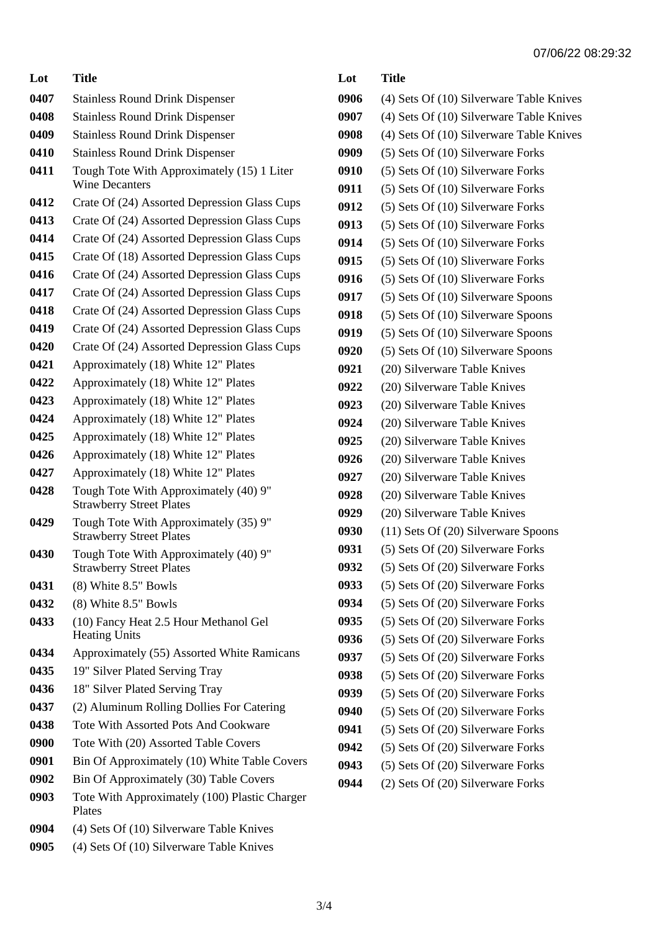| Lot  | Title                                                                    |
|------|--------------------------------------------------------------------------|
| 0407 | <b>Stainless Round Drink Dispenser</b>                                   |
| 0408 | <b>Stainless Round Drink Dispenser</b>                                   |
| 0409 | <b>Stainless Round Drink Dispenser</b>                                   |
| 0410 | <b>Stainless Round Drink Dispenser</b>                                   |
| 0411 | Tough Tote With Approximately (15) 1 Liter<br><b>Wine Decanters</b>      |
| 0412 | Crate Of (24) Assorted Depression Glass Cups                             |
| 0413 | Crate Of (24) Assorted Depression Glass Cups                             |
| 0414 | Crate Of (24) Assorted Depression Glass Cups                             |
| 0415 | Crate Of (18) Assorted Depression Glass Cups                             |
| 0416 | Crate Of (24) Assorted Depression Glass Cups                             |
| 0417 | Crate Of (24) Assorted Depression Glass Cups                             |
| 0418 | Crate Of (24) Assorted Depression Glass Cups                             |
| 0419 | Crate Of (24) Assorted Depression Glass Cups                             |
| 0420 | Crate Of (24) Assorted Depression Glass Cups                             |
| 0421 | Approximately (18) White 12" Plates                                      |
| 0422 | Approximately (18) White 12" Plates                                      |
| 0423 | Approximately (18) White 12" Plates                                      |
| 0424 | Approximately (18) White 12" Plates                                      |
| 0425 | Approximately (18) White 12" Plates                                      |
| 0426 | Approximately (18) White 12" Plates                                      |
| 0427 | Approximately (18) White 12" Plates                                      |
| 0428 | Tough Tote With Approximately (40) 9"<br><b>Strawberry Street Plates</b> |
| 0429 | Tough Tote With Approximately (35) 9"<br><b>Strawberry Street Plates</b> |
| 0430 | Tough Tote With Approximately (40) 9"<br><b>Strawberry Street Plates</b> |
| 0431 | (8) White 8.5" Bowls                                                     |
| 0432 | (8) White 8.5" Bowls                                                     |
| 0433 | (10) Fancy Heat 2.5 Hour Methanol Gel<br><b>Heating Units</b>            |
| 0434 | Approximately (55) Assorted White Ramicans                               |
| 0435 | 19" Silver Plated Serving Tray                                           |
| 0436 | 18" Silver Plated Serving Tray                                           |
| 0437 | (2) Aluminum Rolling Dollies For Catering                                |
| 0438 | <b>Tote With Assorted Pots And Cookware</b>                              |
| 0900 | Tote With (20) Assorted Table Covers                                     |
| 0901 | Bin Of Approximately (10) White Table Covers                             |
| 0902 | Bin Of Approximately (30) Table Covers                                   |
| 0903 | Tote With Approximately (100) Plastic Charger<br>Plates                  |
| 0904 | (4) Sets Of (10) Silverware Table Knives                                 |
| 0905 | (4) Sets Of (10) Silverware Table Knives                                 |

| Lot  | <b>Title</b>                             |
|------|------------------------------------------|
| 0906 | (4) Sets Of (10) Silverware Table Knives |
| 0907 | (4) Sets Of (10) Silverware Table Knives |
| 0908 | (4) Sets Of (10) Silverware Table Knives |
| 0909 | (5) Sets Of (10) Silverware Forks        |
| 0910 | (5) Sets Of (10) Silverware Forks        |
| 0911 | (5) Sets Of (10) Silverware Forks        |
| 0912 | (5) Sets Of (10) Silverware Forks        |
| 0913 | (5) Sets Of (10) Silverware Forks        |
| 0914 | (5) Sets Of (10) Silverware Forks        |
| 0915 | (5) Sets Of (10) Sliverware Forks        |
| 0916 | (5) Sets Of (10) Sliverware Forks        |
| 0917 | (5) Sets Of (10) Silverware Spoons       |
| 0918 | (5) Sets Of (10) Silverware Spoons       |
| 0919 | (5) Sets Of (10) Silverware Spoons       |
| 0920 | (5) Sets Of (10) Silverware Spoons       |
| 0921 | (20) Silverware Table Knives             |
| 0922 | (20) Silverware Table Knives             |
| 0923 | (20) Silverware Table Knives             |
| 0924 | (20) Silverware Table Knives             |
| 0925 | (20) Silverware Table Knives             |
| 0926 | (20) Silverware Table Knives             |
| 0927 | (20) Silverware Table Knives             |
| 0928 | (20) Silverware Table Knives             |
| 0929 | (20) Silverware Table Knives             |
| 0930 | (11) Sets Of (20) Silverware Spoons      |
| 0931 | (5) Sets Of (20) Silverware Forks        |
| 0932 | (5) Sets Of (20) Silverware Forks        |
| 0933 | (5) Sets Of (20) Silverware Forks        |
| 0934 | (5) Sets Of (20) Silverware Forks        |
| 0935 | (5) Sets Of (20) Silverware Forks        |
| 0936 | (5) Sets Of (20) Silverware Forks        |
| 0937 | (5) Sets Of (20) Silverware Forks        |
| 0938 | (5) Sets Of (20) Silverware Forks        |
| 0939 | (5) Sets Of (20) Silverware Forks        |
| 0940 | (5) Sets Of (20) Silverware Forks        |
| 0941 | (5) Sets Of (20) Silverware Forks        |
| 0942 | (5) Sets Of (20) Silverware Forks        |
| 0943 | (5) Sets Of (20) Silverware Forks        |
| 0944 | (2) Sets Of (20) Silverware Forks        |